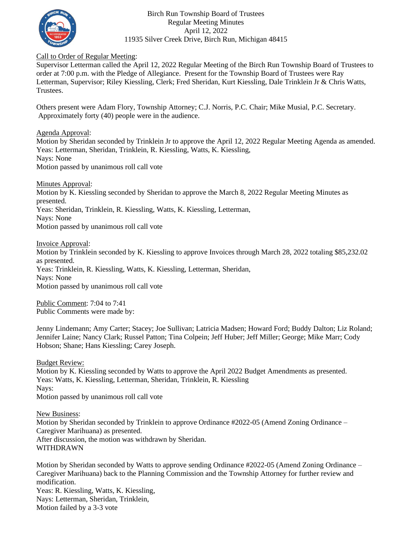

#### Birch Run Township Board of Trustees Regular Meeting Minutes April 12, 2022 11935 Silver Creek Drive, Birch Run, Michigan 48415

### Call to Order of Regular Meeting:

Supervisor Letterman called the April 12, 2022 Regular Meeting of the Birch Run Township Board of Trustees to order at 7:00 p.m. with the Pledge of Allegiance. Present for the Township Board of Trustees were Ray Letterman, Supervisor; Riley Kiessling, Clerk; Fred Sheridan, Kurt Kiessling, Dale Trinklein Jr & Chris Watts, Trustees.

Others present were Adam Flory, Township Attorney; C.J. Norris, P.C. Chair; Mike Musial, P.C. Secretary. Approximately forty (40) people were in the audience.

Agenda Approval:

Motion by Sheridan seconded by Trinklein Jr to approve the April 12, 2022 Regular Meeting Agenda as amended. Yeas: Letterman, Sheridan, Trinklein, R. Kiessling, Watts, K. Kiessling, Nays: None Motion passed by unanimous roll call vote

Minutes Approval:

Motion by K. Kiessling seconded by Sheridan to approve the March 8, 2022 Regular Meeting Minutes as presented. Yeas: Sheridan, Trinklein, R. Kiessling, Watts, K. Kiessling, Letterman, Nays: None

Motion passed by unanimous roll call vote

Invoice Approval:

Motion by Trinklein seconded by K. Kiessling to approve Invoices through March 28, 2022 totaling \$85,232.02 as presented.

Yeas: Trinklein, R. Kiessling, Watts, K. Kiessling, Letterman, Sheridan,

Nays: None

Motion passed by unanimous roll call vote

Public Comment: 7:04 to 7:41 Public Comments were made by:

Jenny Lindemann; Amy Carter; Stacey; Joe Sullivan; Latricia Madsen; Howard Ford; Buddy Dalton; Liz Roland; Jennifer Laine; Nancy Clark; Russel Patton; Tina Colpein; Jeff Huber; Jeff Miller; George; Mike Marr; Cody Hobson; Shane; Hans Kiessling; Carey Joseph.

Budget Review: Motion by K. Kiessling seconded by Watts to approve the April 2022 Budget Amendments as presented. Yeas: Watts, K. Kiessling, Letterman, Sheridan, Trinklein, R. Kiessling Nays: Motion passed by unanimous roll call vote

New Business: Motion by Sheridan seconded by Trinklein to approve Ordinance #2022-05 (Amend Zoning Ordinance – Caregiver Marihuana) as presented. After discussion, the motion was withdrawn by Sheridan.

WITHDRAWN

Motion by Sheridan seconded by Watts to approve sending Ordinance #2022-05 (Amend Zoning Ordinance – Caregiver Marihuana) back to the Planning Commission and the Township Attorney for further review and modification. Yeas: R. Kiessling, Watts, K. Kiessling, Nays: Letterman, Sheridan, Trinklein,

Motion failed by a 3-3 vote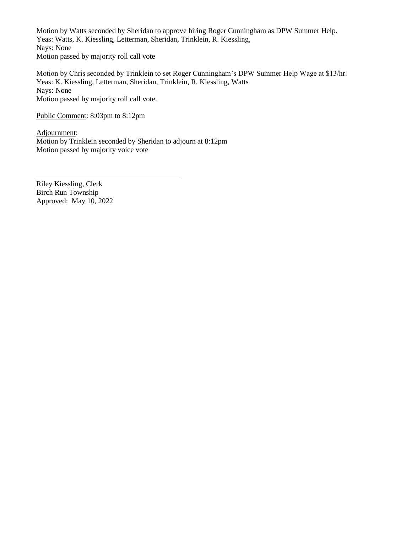Motion by Watts seconded by Sheridan to approve hiring Roger Cunningham as DPW Summer Help. Yeas: Watts, K. Kiessling, Letterman, Sheridan, Trinklein, R. Kiessling, Nays: None Motion passed by majority roll call vote

Motion by Chris seconded by Trinklein to set Roger Cunningham's DPW Summer Help Wage at \$13/hr. Yeas: K. Kiessling, Letterman, Sheridan, Trinklein, R. Kiessling, Watts Nays: None Motion passed by majority roll call vote.

Public Comment: 8:03pm to 8:12pm

Adjournment: Motion by Trinklein seconded by Sheridan to adjourn at 8:12pm Motion passed by majority voice vote

Riley Kiessling, Clerk Birch Run Township Approved: May 10, 2022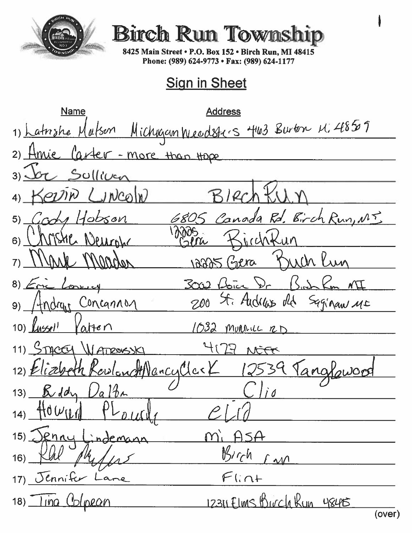

## **Birch Run Town**

8425 Main Street . P.O. Box 152 . Birch Run, MI 48415 Phone: (989) 624-9773 · Fax: (989) 624-1177

### **Sign in Sheet**

Name **Address** 1) Latishe Mutson Michigan Weedsters 463 Burton M. 48509 Hmie Carter - more than tope  $2)$ Sulliver  $\overline{3}$  $L$ *n* $con$ W  $4)$ Canada Rd. Birch Run, MT Crone Hobson 5) MSHE Neural  $10$ cand 6)  $\boldsymbol{n}$ MACLON nera  $7)$ 74261  $\lambda \lambda \Lambda$  $302$  bien  $\sqrt{2}$  $8)$   $\epsilon$ Concell St. Audress dld Saginan ME  $200$ Concanno  $4n$ dru $r$ 9)  $10$ )  $\left[$ *lussel*<sup>1</sup>  $\Delta$ Hen  $1032$ MURALL RD 11) STACCEL *WATROUSSK*  $41$  $\mathbb{Q}$ NEFF ancullar 12)  $\mathcal{E}$ Beddy  $13)$  $14\pi$  $\overline{a}$ 10 W  $14)$ enny  $15)$ indemo  $M_{1}$  $\frac{M}{C}$ h 16)  $\Lambda$  $F$ lint 17) Jennifer -ane 12311 Elms Birch Kun 18) ling Colpean 48415 (over)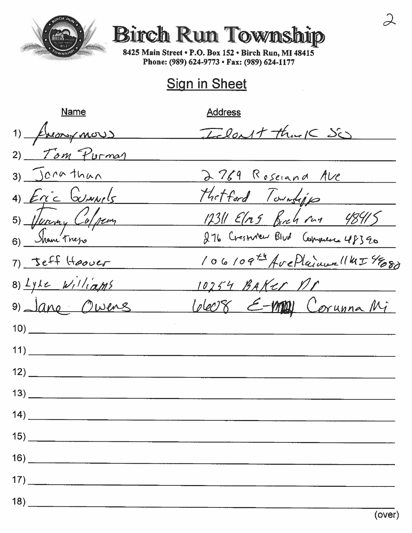

# **Birch Run Township**

8425 Main Street . P.O. Box 152 . Birch Run, MI 48415 Phone: (989) 624-9773 · Fax: (989) 624-1177

## **Sign in Sheet**

**Name Address** Idout that So  $1)$  from more  $2)$  Tom Purman 2769 Roseland Ave  $3)$  Jerathan Hatford Townships 4) Eric Gunnels 5) Juriny Colocan  $12311$  Elns Birch run 48415 276 Cresnier Blud Commence 48390 6) Shane Treps 106109th AvePlainer (145488) 7) Jeff Hoover  $8)$  Lyke  $w_i$ lliams  $10254$  BAKer nr Wer8 E-MON Corunna Mi 9) Jane Owens  $\overline{14)}$  $\overline{16}$  and  $\overline{16}$  and  $\overline{16}$  and  $\overline{16}$  and  $\overline{16}$  and  $\overline{16}$  and  $\overline{16}$  and  $\overline{16}$  and  $\overline{16}$  and  $\overline{16}$  and  $\overline{16}$  and  $\overline{16}$  and  $\overline{16}$  and  $\overline{16}$  and  $\overline{16}$  and  $\overline{16}$  a  $\left(18\right)$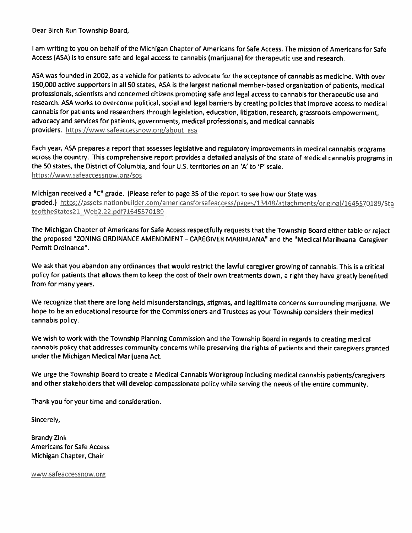Dear Birch Run Township Board,

I am writing to you on behalf of the Michigan Chapter of Americans for Safe Access. The mission of Americans for Safe Access (ASA) is to ensure safe and legal access to cannabis (marijuana) for therapeutic use and research.

ASA was founded in 2002, as a vehicle for patients to advocate for the acceptance of cannabis as medicine. With over 150,000 active supporters in all 50 states, ASA is the largest national member-based organization of patients, medical professionals, scientists and concerned citizens promoting safe and legal access to cannabis for therapeutic use and research. ASA works to overcome political, social and legal barriers by creating policies that improve access to medical cannabis for patients and researchers through legislation, education, litigation, research, grassroots empowerment, advocacy and services for patients, governments, medical professionals, and medical cannabis providers. https://www.safeaccessnow.org/about asa

Each year, ASA prepares a report that assesses legislative and regulatory improvements in medical cannabis programs across the country. This comprehensive report provides a detailed analysis of the state of medical cannabis programs in the 50 states, the District of Columbia, and four U.S. territories on an 'A' to 'F' scale. https://www.safeaccessnow.org/sos

Michigan received a "C" grade. (Please refer to page 35 of the report to see how our State was graded.) https://assets.nationbuilder.com/americansforsafeaccess/pages/13448/attachments/original/1645570189/Sta teoftheStates21\_Web2.22.pdf?1645570189

The Michigan Chapter of Americans for Safe Access respectfully requests that the Township Board either table or reject the proposed "ZONING ORDINANCE AMENDMENT - CAREGIVER MARIHUANA" and the "Medical Marihuana Caregiver Permit Ordinance".

We ask that you abandon any ordinances that would restrict the lawful caregiver growing of cannabis. This is a critical policy for patients that allows them to keep the cost of their own treatments down, a right they have greatly benefited from for many years.

We recognize that there are long held misunderstandings, stigmas, and legitimate concerns surrounding marijuana. We hope to be an educational resource for the Commissioners and Trustees as your Township considers their medical cannabis policy.

We wish to work with the Township Planning Commission and the Township Board in regards to creating medical cannabis policy that addresses community concerns while preserving the rights of patients and their caregivers granted under the Michigan Medical Marijuana Act.

We urge the Township Board to create a Medical Cannabis Workgroup including medical cannabis patients/caregivers and other stakeholders that will develop compassionate policy while serving the needs of the entire community.

Thank you for your time and consideration.

Sincerely,

**Brandy Zink Americans for Safe Access** Michigan Chapter, Chair

www.safeaccessnow.org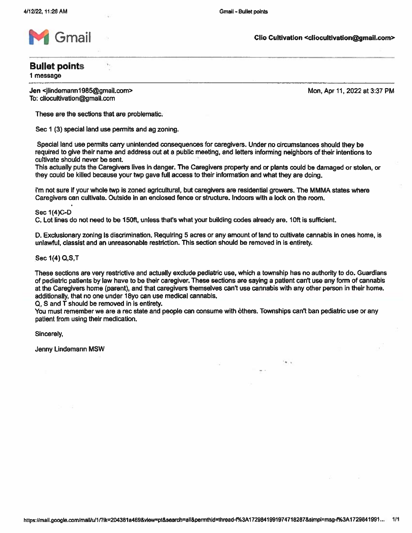

Clio Cultivation <cliocultivation@gmail.com>

### **Bullet points**

1 message

Jen <ilindemann1985@gmail.com> To: cliocultivation@gmail.com

Mon, Apr 11, 2022 at 3:37 PM

These are the sections that are problematic.

Sec 1 (3) special land use permits and ag zoning.

١.

Special land use permits carry unintended consequences for caregivers. Under no circumstances should they be required to give their name and address out at a public meeting, and letters informing neighbors of their intentions to cultivate should never be sent.

This actually puts the Caregivers lives in danger. The Caregivers property and or plants could be damaged or stolen, or they could be killed because your twp gave full access to their information and what they are doing.

I'm not sure if your whole two is zoned agricultural, but caregivers are residential growers. The MMMA states where Caregivers can cultivate. Outside in an enclosed fence or structure. Indoors with a lock on the room,

Sec 1(4)C-D

C. Lot lines do not need to be 150ft, unless that's what your building codes already are, 10ft is sufficient,

D. Exclusionary zoning Is discrimination. Requiring 5 acres or any amount of land to cultivate cannabis in ones home, is unlawful, classist and an unreasonable restriction. This section should be removed in is entirety.

Sec 1(4) Q, S, T

These sections are very restrictive and actually exclude pediatric use, which a township has no authority to do. Guardians of pediatric patients by law have to be their caregiver. These sections are saying a patient can't use any form of cannabis at the Caregivers home (parent), and that caregivers themselves can't use cannabis with any other person in their home. additionally, that no one under 18yo can use medical cannabis.

 $Q$ , S and  $\overline{T}$  should be removed in is entirety.

You must remember we are a rec state and people can consume with others. Townships can't ban pediatric use or any patient from using their medication.

Sincerely.

Jenny Lindemann MSW